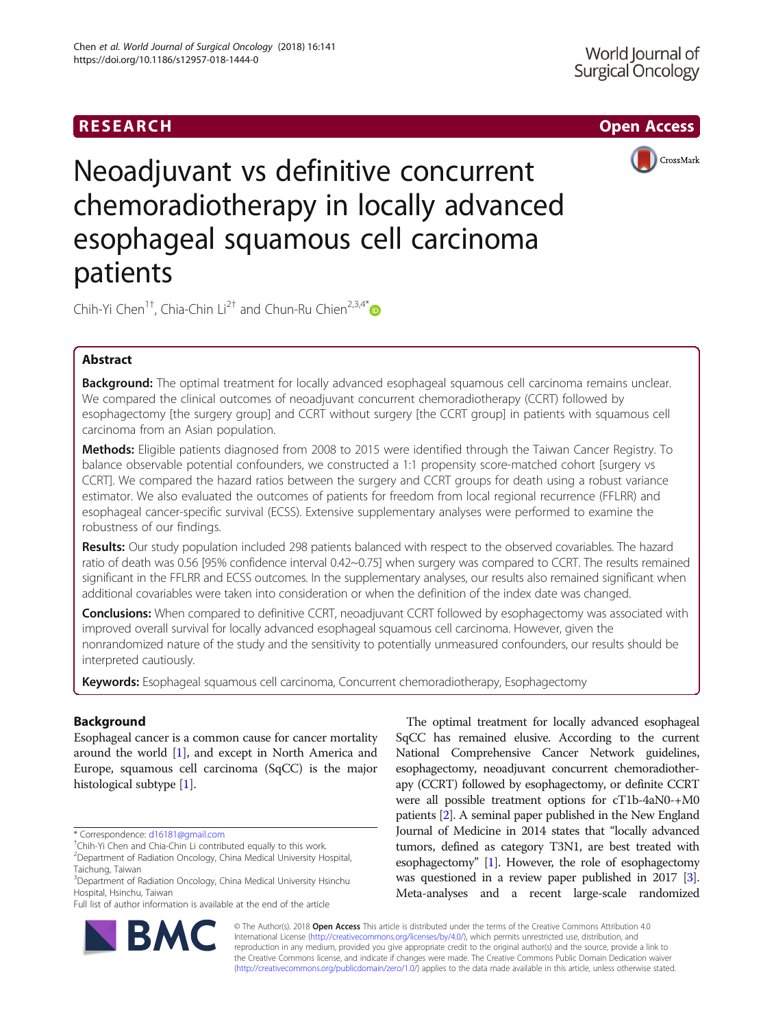# RESEARCH **RESEARCH CHOOSE ACCESS**



Neoadjuvant vs definitive concurrent chemoradiotherapy in locally advanced esophageal squamous cell carcinoma patients

Chih-Yi Chen $^{1\dagger}$ , Chia-Chin Li $^{2\dagger}$  and Chun-Ru Chien $^{2,3,4^*}$  $^{2,3,4^*}$  $^{2,3,4^*}$ 

## Abstract

Background: The optimal treatment for locally advanced esophageal squamous cell carcinoma remains unclear. We compared the clinical outcomes of neoadjuvant concurrent chemoradiotherapy (CCRT) followed by esophagectomy [the surgery group] and CCRT without surgery [the CCRT group] in patients with squamous cell carcinoma from an Asian population.

Methods: Eligible patients diagnosed from 2008 to 2015 were identified through the Taiwan Cancer Registry. To balance observable potential confounders, we constructed a 1:1 propensity score-matched cohort [surgery vs CCRT]. We compared the hazard ratios between the surgery and CCRT groups for death using a robust variance estimator. We also evaluated the outcomes of patients for freedom from local regional recurrence (FFLRR) and esophageal cancer-specific survival (ECSS). Extensive supplementary analyses were performed to examine the robustness of our findings.

Results: Our study population included 298 patients balanced with respect to the observed covariables. The hazard ratio of death was 0.56 [95% confidence interval 0.42~0.75] when surgery was compared to CCRT. The results remained significant in the FFLRR and ECSS outcomes. In the supplementary analyses, our results also remained significant when additional covariables were taken into consideration or when the definition of the index date was changed.

**Conclusions:** When compared to definitive CCRT, neoadjuvant CCRT followed by esophagectomy was associated with improved overall survival for locally advanced esophageal squamous cell carcinoma. However, given the nonrandomized nature of the study and the sensitivity to potentially unmeasured confounders, our results should be interpreted cautiously.

Keywords: Esophageal squamous cell carcinoma, Concurrent chemoradiotherapy, Esophagectomy

## Background

Esophageal cancer is a common cause for cancer mortality around the world [[1\]](#page-7-0), and except in North America and Europe, squamous cell carcinoma (SqCC) is the major histological subtype [\[1\]](#page-7-0).

**BM** 

Full list of author information is available at the end of the article



© The Author(s). 2018 Open Access This article is distributed under the terms of the Creative Commons Attribution 4.0 International License [\(http://creativecommons.org/licenses/by/4.0/](http://creativecommons.org/licenses/by/4.0/)), which permits unrestricted use, distribution, and reproduction in any medium, provided you give appropriate credit to the original author(s) and the source, provide a link to the Creative Commons license, and indicate if changes were made. The Creative Commons Public Domain Dedication waiver [\(http://creativecommons.org/publicdomain/zero/1.0/](http://creativecommons.org/publicdomain/zero/1.0/)) applies to the data made available in this article, unless otherwise stated.

<sup>\*</sup> Correspondence: [d16181@gmail.com](mailto:d16181@gmail.com) †

Chih-Yi Chen and Chia-Chin Li contributed equally to this work.

<sup>2</sup> Department of Radiation Oncology, China Medical University Hospital, Taichung, Taiwan

<sup>&</sup>lt;sup>3</sup>Department of Radiation Oncology, China Medical University Hsinchu Hospital, Hsinchu, Taiwan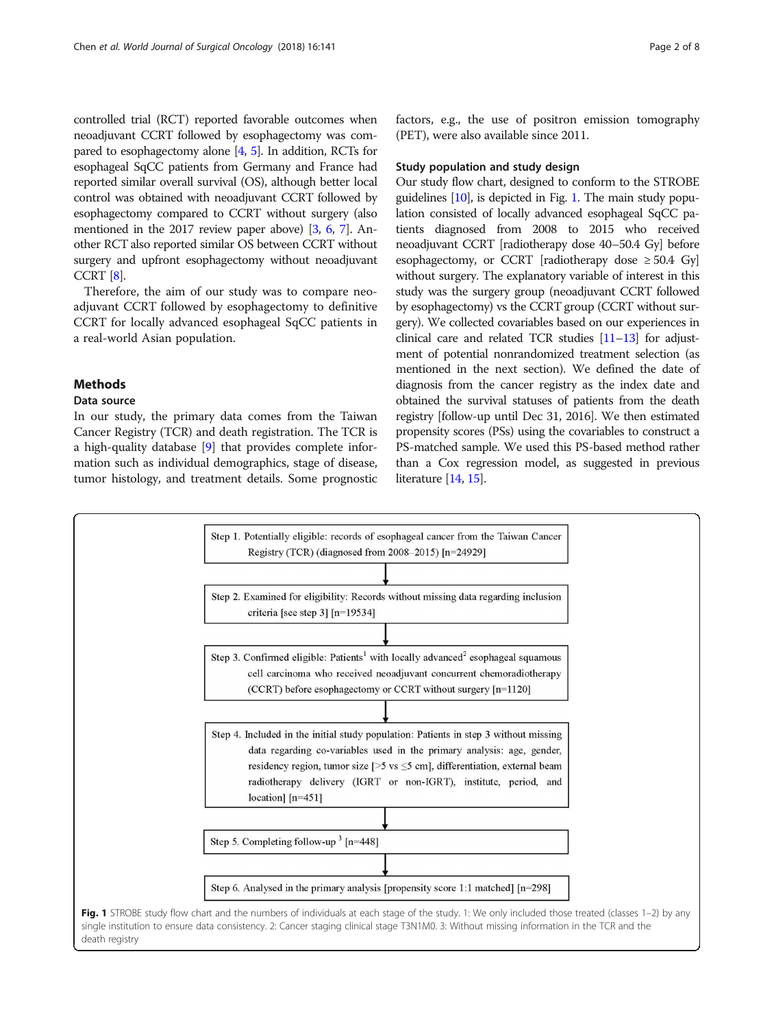<span id="page-1-0"></span>controlled trial (RCT) reported favorable outcomes when neoadjuvant CCRT followed by esophagectomy was compared to esophagectomy alone [\[4,](#page-7-0) [5\]](#page-7-0). In addition, RCTs for esophageal SqCC patients from Germany and France had reported similar overall survival (OS), although better local control was obtained with neoadjuvant CCRT followed by esophagectomy compared to CCRT without surgery (also mentioned in the 2017 review paper above) [\[3](#page-7-0), [6,](#page-7-0) [7](#page-7-0)]. Another RCT also reported similar OS between CCRT without surgery and upfront esophagectomy without neoadjuvant CCRT [\[8\]](#page-7-0).

Therefore, the aim of our study was to compare neoadjuvant CCRT followed by esophagectomy to definitive CCRT for locally advanced esophageal SqCC patients in a real-world Asian population.

## Methods

## Data source

In our study, the primary data comes from the Taiwan Cancer Registry (TCR) and death registration. The TCR is a high-quality database [\[9\]](#page-7-0) that provides complete information such as individual demographics, stage of disease, tumor histology, and treatment details. Some prognostic factors, e.g., the use of positron emission tomography (PET), were also available since 2011.

## Study population and study design

Our study flow chart, designed to conform to the STROBE guidelines [\[10](#page-7-0)], is depicted in Fig. 1. The main study population consisted of locally advanced esophageal SqCC patients diagnosed from 2008 to 2015 who received neoadjuvant CCRT [radiotherapy dose 40–50.4 Gy] before esophagectomy, or CCRT [radiotherapy dose  $\geq 50.4$  Gy] without surgery. The explanatory variable of interest in this study was the surgery group (neoadjuvant CCRT followed by esophagectomy) vs the CCRT group (CCRT without surgery). We collected covariables based on our experiences in clinical care and related TCR studies [\[11](#page-7-0)–[13\]](#page-7-0) for adjustment of potential nonrandomized treatment selection (as mentioned in the next section). We defined the date of diagnosis from the cancer registry as the index date and obtained the survival statuses of patients from the death registry [follow-up until Dec 31, 2016]. We then estimated propensity scores (PSs) using the covariables to construct a PS-matched sample. We used this PS-based method rather than a Cox regression model, as suggested in previous literature [[14](#page-7-0), [15](#page-7-0)].

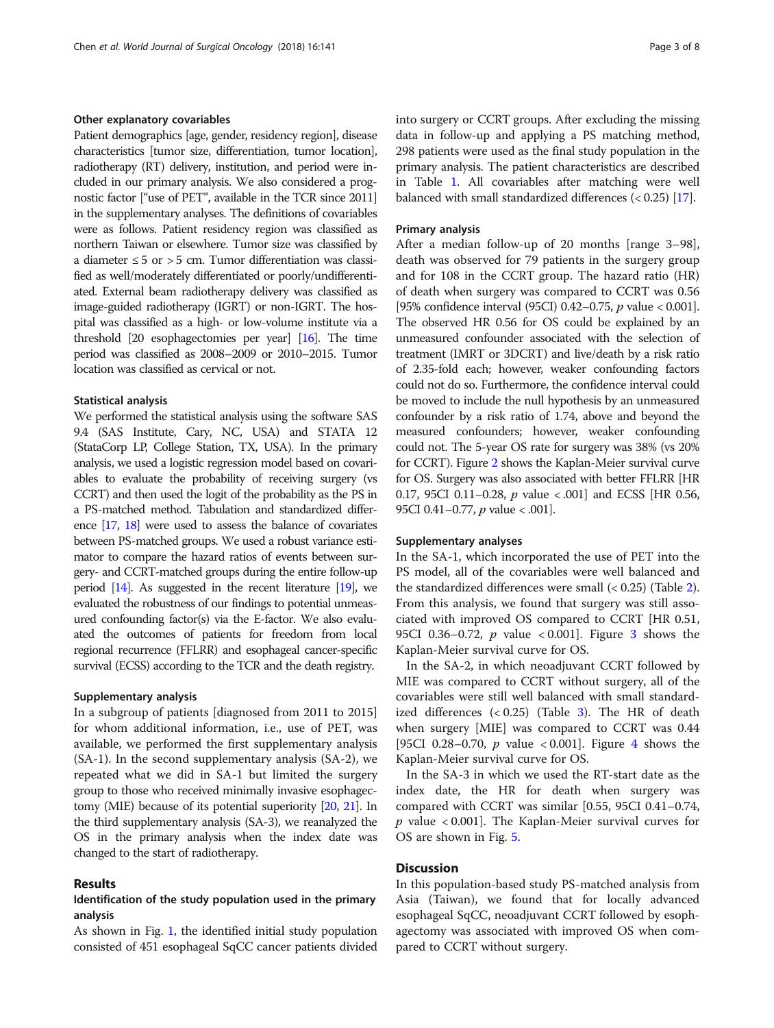## Other explanatory covariables

Patient demographics [age, gender, residency region], disease characteristics [tumor size, differentiation, tumor location], radiotherapy (RT) delivery, institution, and period were included in our primary analysis. We also considered a prognostic factor ["use of PET", available in the TCR since 2011] in the supplementary analyses. The definitions of covariables were as follows. Patient residency region was classified as northern Taiwan or elsewhere. Tumor size was classified by a diameter  $\leq$  5 or  $>$  5 cm. Tumor differentiation was classified as well/moderately differentiated or poorly/undifferentiated. External beam radiotherapy delivery was classified as image-guided radiotherapy (IGRT) or non-IGRT. The hospital was classified as a high- or low-volume institute via a threshold [20 esophagectomies per year] [\[16\]](#page-7-0). The time period was classified as 2008–2009 or 2010–2015. Tumor location was classified as cervical or not.

## Statistical analysis

We performed the statistical analysis using the software SAS 9.4 (SAS Institute, Cary, NC, USA) and STATA 12 (StataCorp LP, College Station, TX, USA). In the primary analysis, we used a logistic regression model based on covariables to evaluate the probability of receiving surgery (vs CCRT) and then used the logit of the probability as the PS in a PS-matched method. Tabulation and standardized difference [\[17](#page-7-0), [18](#page-7-0)] were used to assess the balance of covariates between PS-matched groups. We used a robust variance estimator to compare the hazard ratios of events between surgery- and CCRT-matched groups during the entire follow-up period  $[14]$ . As suggested in the recent literature  $[19]$  $[19]$ , we evaluated the robustness of our findings to potential unmeasured confounding factor(s) via the E-factor. We also evaluated the outcomes of patients for freedom from local regional recurrence (FFLRR) and esophageal cancer-specific survival (ECSS) according to the TCR and the death registry.

### Supplementary analysis

In a subgroup of patients [diagnosed from 2011 to 2015] for whom additional information, i.e., use of PET, was available, we performed the first supplementary analysis (SA-1). In the second supplementary analysis (SA-2), we repeated what we did in SA-1 but limited the surgery group to those who received minimally invasive esophagectomy (MIE) because of its potential superiority [[20](#page-7-0), [21\]](#page-7-0). In the third supplementary analysis (SA-3), we reanalyzed the OS in the primary analysis when the index date was changed to the start of radiotherapy.

## Results

## Identification of the study population used in the primary analysis

As shown in Fig. [1,](#page-1-0) the identified initial study population consisted of 451 esophageal SqCC cancer patients divided into surgery or CCRT groups. After excluding the missing data in follow-up and applying a PS matching method, 298 patients were used as the final study population in the primary analysis. The patient characteristics are described in Table [1.](#page-3-0) All covariables after matching were well balanced with small standardized differences (< 0.25) [[17\]](#page-7-0).

## Primary analysis

After a median follow-up of 20 months [range 3–98], death was observed for 79 patients in the surgery group and for 108 in the CCRT group. The hazard ratio (HR) of death when surgery was compared to CCRT was 0.56 [95% confidence interval (95CI) 0.42–0.75, p value < 0.001]. The observed HR 0.56 for OS could be explained by an unmeasured confounder associated with the selection of treatment (IMRT or 3DCRT) and live/death by a risk ratio of 2.35-fold each; however, weaker confounding factors could not do so. Furthermore, the confidence interval could be moved to include the null hypothesis by an unmeasured confounder by a risk ratio of 1.74, above and beyond the measured confounders; however, weaker confounding could not. The 5-year OS rate for surgery was 38% (vs 20% for CCRT). Figure [2](#page-3-0) shows the Kaplan-Meier survival curve for OS. Surgery was also associated with better FFLRR [HR 0.17, 95CI 0.11-0.28,  $p$  value < .001] and ECSS [HR 0.56, 95CI 0.41 $-0.77$ , *p* value < .001].

## Supplementary analyses

In the SA-1, which incorporated the use of PET into the PS model, all of the covariables were well balanced and the standardized differences were small (< 0.25) (Table [2](#page-4-0)). From this analysis, we found that surgery was still associated with improved OS compared to CCRT [HR 0.51, 95CI 0.[3](#page-4-0)6–0.72,  $p$  value < 0.001]. Figure 3 shows the Kaplan-Meier survival curve for OS.

In the SA-2, in which neoadjuvant CCRT followed by MIE was compared to CCRT without surgery, all of the covariables were still well balanced with small standardized differences  $( $0.25$ ) (Table 3). The HR of death$  $( $0.25$ ) (Table 3). The HR of death$  $( $0.25$ ) (Table 3). The HR of death$ when surgery [MIE] was compared to CCRT was 0.44 [95CI 0.28–0.70,  $p$  value < 0.001]. Figure [4](#page-5-0) shows the Kaplan-Meier survival curve for OS.

In the SA-3 in which we used the RT-start date as the index date, the HR for death when surgery was compared with CCRT was similar [0.55, 95CI 0.41–0.74,  $p$  value < 0.001]. The Kaplan-Meier survival curves for OS are shown in Fig. [5](#page-6-0).

## **Discussion**

In this population-based study PS-matched analysis from Asia (Taiwan), we found that for locally advanced esophageal SqCC, neoadjuvant CCRT followed by esophagectomy was associated with improved OS when compared to CCRT without surgery.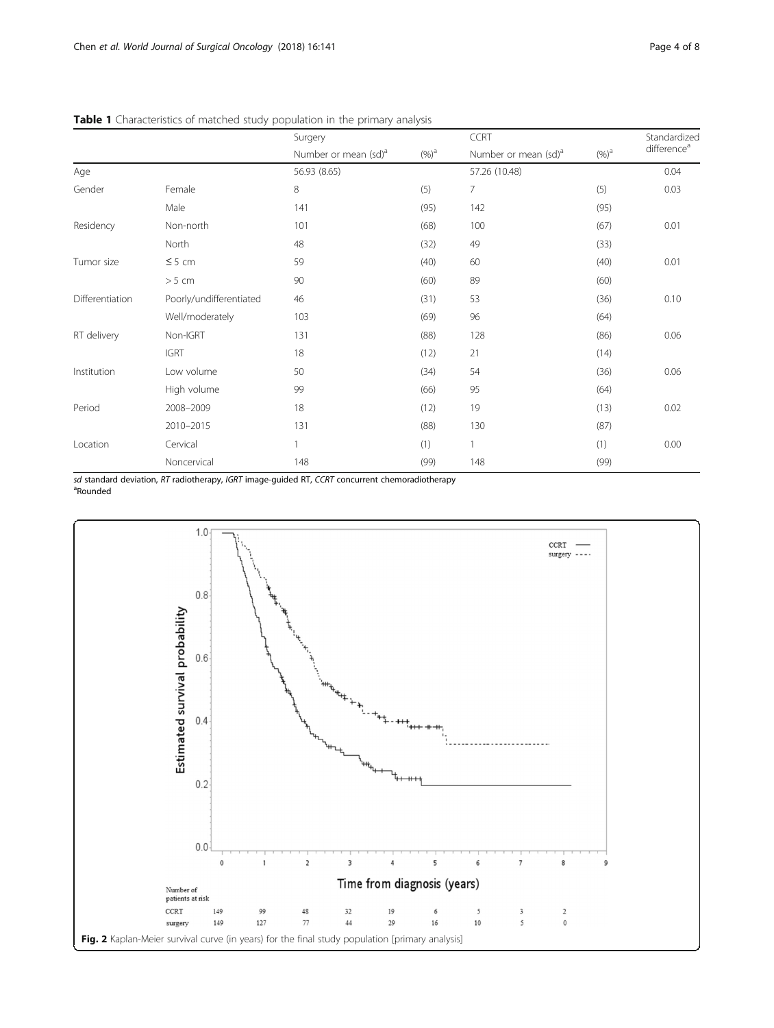|                 |                         | Surgery                          |                   | <b>CCRT</b>                      |          | Standardized<br>difference <sup>a</sup> |
|-----------------|-------------------------|----------------------------------|-------------------|----------------------------------|----------|-----------------------------------------|
|                 |                         | Number or mean (sd) <sup>a</sup> | $(\%)^{\text{a}}$ | Number or mean (sd) <sup>a</sup> | $(\%)^a$ |                                         |
| Age             |                         | 56.93 (8.65)                     |                   | 57.26 (10.48)                    |          | 0.04                                    |
| Gender          | Female                  | $\,8\,$                          | (5)               | 7                                | (5)      | 0.03                                    |
|                 | Male                    | 141                              | (95)              | 142                              | (95)     |                                         |
| Residency       | Non-north               | 101                              | (68)              | 100                              | (67)     | 0.01                                    |
|                 | North                   | 48                               | (32)              | 49                               | (33)     |                                         |
| Tumor size      | $\leq$ 5 cm             | 59                               | (40)              | 60                               | (40)     | 0.01                                    |
|                 | $>5$ cm                 | 90                               | (60)              | 89                               | (60)     |                                         |
| Differentiation | Poorly/undifferentiated | 46                               | (31)              | 53                               | (36)     | 0.10                                    |
|                 | Well/moderately         | 103                              | (69)              | 96                               | (64)     |                                         |
| RT delivery     | Non-IGRT                | 131                              | (88)              | 128                              | (86)     | 0.06                                    |
|                 | <b>IGRT</b>             | 18                               | (12)              | 21                               | (14)     |                                         |
| Institution     | Low volume              | 50                               | (34)              | 54                               | (36)     | 0.06                                    |
|                 | High volume             | 99                               | (66)              | 95                               | (64)     |                                         |
| Period          | 2008-2009               | 18                               | (12)              | 19                               | (13)     | 0.02                                    |
|                 | 2010-2015               | 131                              | (88)              | 130                              | (87)     |                                         |
| Location        | Cervical                |                                  | (1)               | 1                                | (1)      | 0.00                                    |
|                 | Noncervical             | 148                              | (99)              | 148                              | (99)     |                                         |

<span id="page-3-0"></span>Table 1 Characteristics of matched study population in the primary analysis

sd standard deviation, RT radiotherapy, IGRT image-guided RT, CCRT concurrent chemoradiotherapy Rounded

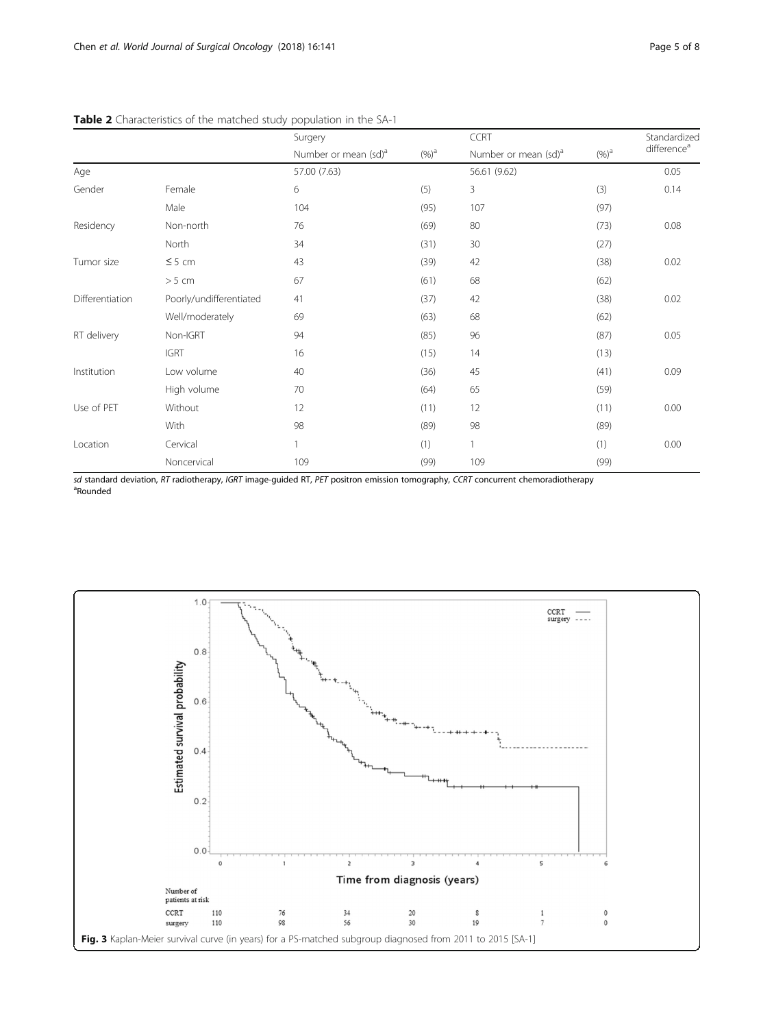|                 |                         | Surgery                          |         | <b>CCRT</b>                      |          | Standardized            |
|-----------------|-------------------------|----------------------------------|---------|----------------------------------|----------|-------------------------|
|                 |                         | Number or mean (sd) <sup>a</sup> | $(%)^a$ | Number or mean (sd) <sup>a</sup> | $(\%)^a$ | difference <sup>a</sup> |
| Age             |                         | 57.00 (7.63)                     |         | 56.61 (9.62)                     |          | 0.05                    |
| Gender          | Female                  | 6                                | (5)     | 3                                | (3)      | 0.14                    |
|                 | Male                    | 104                              | (95)    | 107                              | (97)     |                         |
| Residency       | Non-north               | 76                               | (69)    | 80                               | (73)     | 0.08                    |
|                 | North                   | 34                               | (31)    | 30                               | (27)     |                         |
| Tumor size      | $\leq$ 5 cm             | 43                               | (39)    | 42                               | (38)     | 0.02                    |
|                 | > 5 cm                  | 67                               | (61)    | 68                               | (62)     |                         |
| Differentiation | Poorly/undifferentiated | 41                               | (37)    | 42                               | (38)     | 0.02                    |
|                 | Well/moderately         | 69                               | (63)    | 68                               | (62)     |                         |
| RT delivery     | Non-IGRT                | 94                               | (85)    | 96                               | (87)     | 0.05                    |
|                 | <b>IGRT</b>             | 16                               | (15)    | 14                               | (13)     |                         |
| Institution     | Low volume              | 40                               | (36)    | 45                               | (41)     | 0.09                    |
|                 | High volume             | 70                               | (64)    | 65                               | (59)     |                         |
| Use of PET      | Without                 | 12                               | (11)    | 12                               | (11)     | 0.00                    |
|                 | With                    | 98                               | (89)    | 98                               | (89)     |                         |
| Location        | Cervical                |                                  | (1)     |                                  | (1)      | 0.00                    |
|                 | Noncervical             | 109                              | (99)    | 109                              | (99)     |                         |

## <span id="page-4-0"></span>Table 2 Characteristics of the matched study population in the SA-1

sd standard deviation, RT radiotherapy, IGRT image-guided RT, PET positron emission tomography, CCRT concurrent chemoradiotherapy Rounded

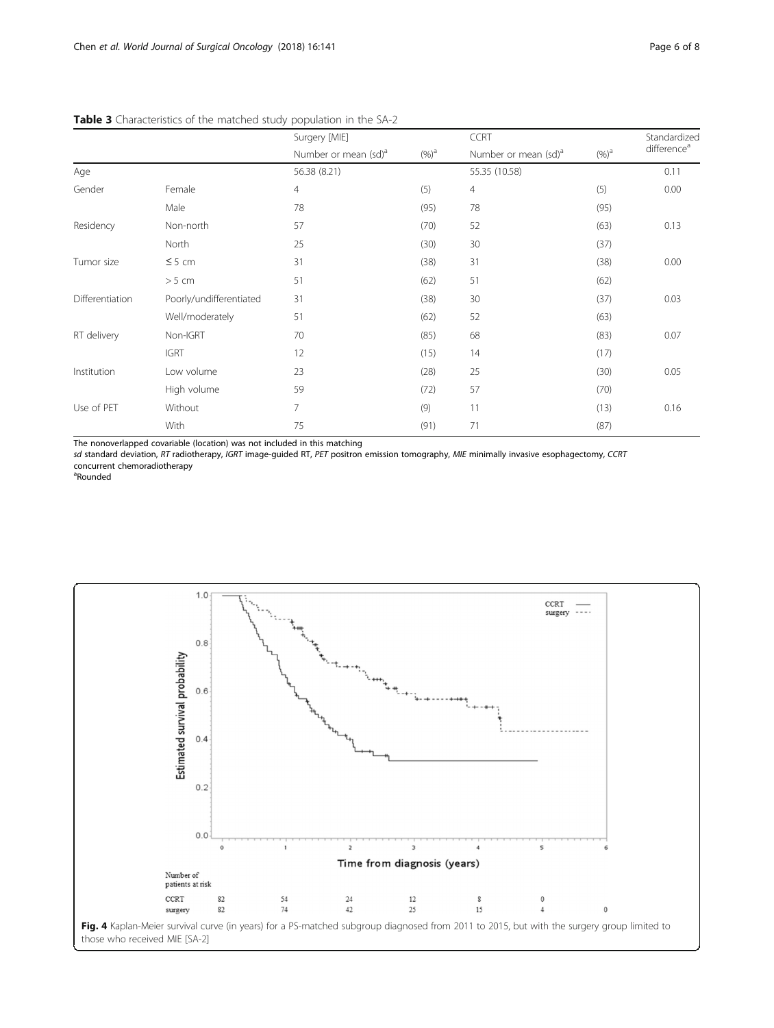|                 |                         | Surgery [MIE]                    |                   | <b>CCRT</b>                      |          | Standardized<br>difference <sup>a</sup> |
|-----------------|-------------------------|----------------------------------|-------------------|----------------------------------|----------|-----------------------------------------|
|                 |                         | Number or mean (sd) <sup>a</sup> | $(\%)^{\text{a}}$ | Number or mean (sd) <sup>a</sup> | $(\%)^a$ |                                         |
| Age             |                         | 56.38 (8.21)                     |                   | 55.35 (10.58)                    |          | 0.11                                    |
| Gender          | Female                  | $\overline{4}$                   | (5)               | $\overline{4}$                   | (5)      | 0.00                                    |
|                 | Male                    | 78                               | (95)              | 78                               | (95)     |                                         |
| Residency       | Non-north               | 57                               | (70)              | 52                               | (63)     | 0.13                                    |
|                 | North                   | 25                               | (30)              | 30                               | (37)     |                                         |
| Tumor size      | $\leq$ 5 cm             | 31                               | (38)              | 31                               | (38)     | 0.00                                    |
|                 | $>5$ cm                 | 51                               | (62)              | 51                               | (62)     |                                         |
| Differentiation | Poorly/undifferentiated | 31                               | (38)              | 30                               | (37)     | 0.03                                    |
|                 | Well/moderately         | 51                               | (62)              | 52                               | (63)     |                                         |
| RT delivery     | Non-IGRT                | 70                               | (85)              | 68                               | (83)     | 0.07                                    |
|                 | <b>IGRT</b>             | 12                               | (15)              | 14                               | (17)     |                                         |
| Institution     | Low volume              | 23                               | (28)              | 25                               | (30)     | 0.05                                    |
|                 | High volume             | 59                               | (72)              | 57                               | (70)     |                                         |
| Use of PET      | Without                 | $7\overline{ }$                  | (9)               | 11                               | (13)     | 0.16                                    |
|                 | With                    | 75                               | (91)              | 71                               | (87)     |                                         |

## <span id="page-5-0"></span>Table 3 Characteristics of the matched study population in the SA-2

The nonoverlapped covariable (location) was not included in this matching

sd standard deviation, RT radiotherapy, IGRT image-guided RT, PET positron emission tomography, MIE minimally invasive esophagectomy, CCRT concurrent chemoradiotherapy

<sup>a</sup>Rounded

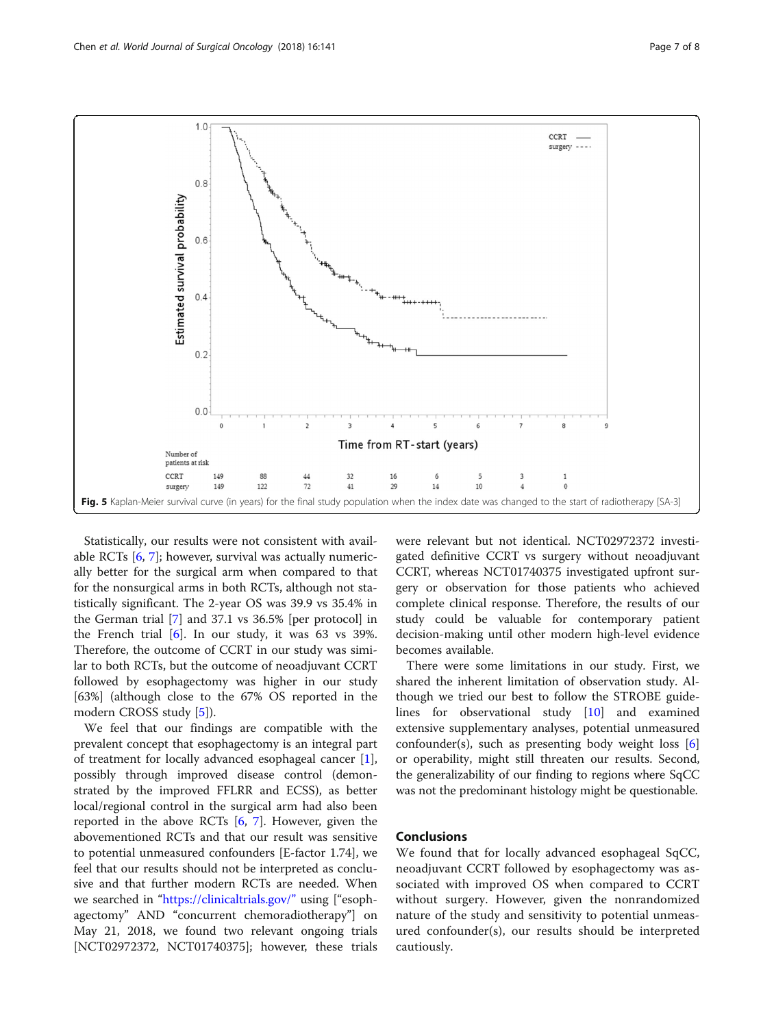<span id="page-6-0"></span>

Statistically, our results were not consistent with available RCTs [[6](#page-7-0), [7](#page-7-0)]; however, survival was actually numerically better for the surgical arm when compared to that for the nonsurgical arms in both RCTs, although not statistically significant. The 2-year OS was 39.9 vs 35.4% in the German trial [[7\]](#page-7-0) and 37.1 vs 36.5% [per protocol] in the French trial  $[6]$  $[6]$ . In our study, it was 63 vs 39%. Therefore, the outcome of CCRT in our study was similar to both RCTs, but the outcome of neoadjuvant CCRT followed by esophagectomy was higher in our study [63%] (although close to the 67% OS reported in the modern CROSS study [[5\]](#page-7-0)).

We feel that our findings are compatible with the prevalent concept that esophagectomy is an integral part of treatment for locally advanced esophageal cancer [\[1](#page-7-0)], possibly through improved disease control (demonstrated by the improved FFLRR and ECSS), as better local/regional control in the surgical arm had also been reported in the above RCTs [\[6](#page-7-0), [7\]](#page-7-0). However, given the abovementioned RCTs and that our result was sensitive to potential unmeasured confounders [E-factor 1.74], we feel that our results should not be interpreted as conclusive and that further modern RCTs are needed. When we searched in "<https://clinicaltrials.gov/>" using ["esophagectomy" AND "concurrent chemoradiotherapy"] on May 21, 2018, we found two relevant ongoing trials [NCT02972372, NCT01740375]; however, these trials were relevant but not identical. NCT02972372 investigated definitive CCRT vs surgery without neoadjuvant CCRT, whereas NCT01740375 investigated upfront surgery or observation for those patients who achieved complete clinical response. Therefore, the results of our study could be valuable for contemporary patient decision-making until other modern high-level evidence becomes available.

There were some limitations in our study. First, we shared the inherent limitation of observation study. Although we tried our best to follow the STROBE guidelines for observational study [\[10](#page-7-0)] and examined extensive supplementary analyses, potential unmeasured confounder(s), such as presenting body weight loss [\[6](#page-7-0)] or operability, might still threaten our results. Second, the generalizability of our finding to regions where SqCC was not the predominant histology might be questionable.

## Conclusions

We found that for locally advanced esophageal SqCC, neoadjuvant CCRT followed by esophagectomy was associated with improved OS when compared to CCRT without surgery. However, given the nonrandomized nature of the study and sensitivity to potential unmeasured confounder(s), our results should be interpreted cautiously.